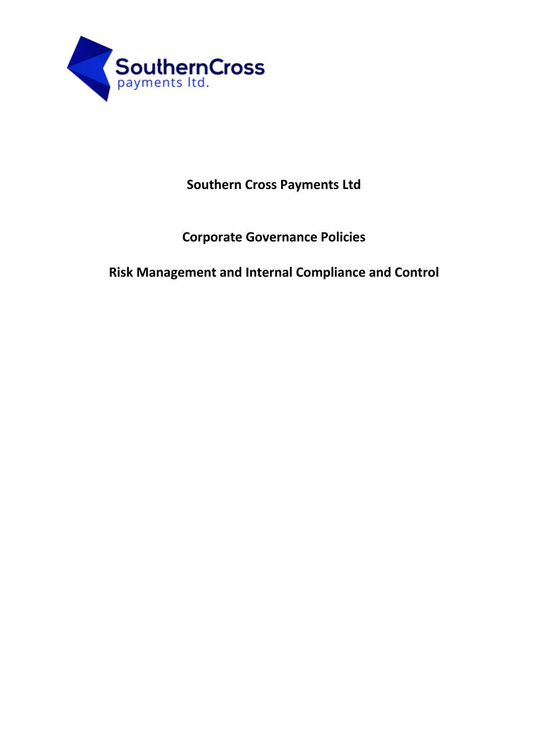

## **Southern Cross Payments Ltd**

## **Corporate Governance Policies**

**Risk Management and Internal Compliance and Control**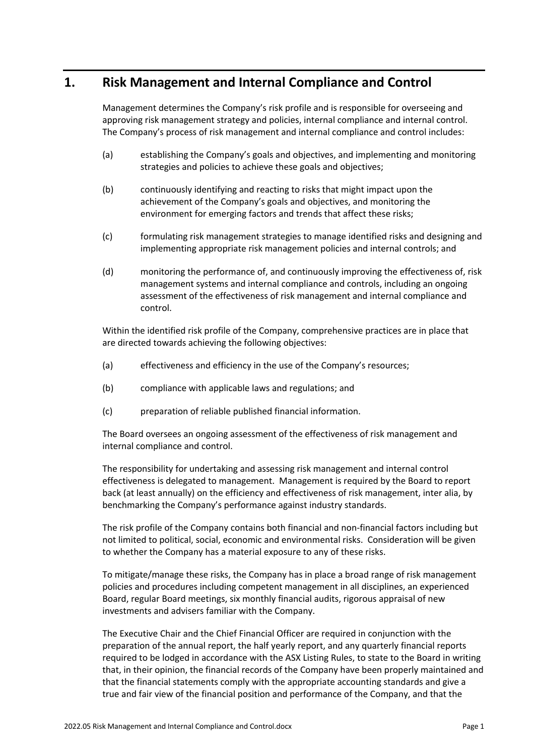## **1. Risk Management and Internal Compliance and Control**

Management determines the Company's risk profile and is responsible for overseeing and approving risk management strategy and policies, internal compliance and internal control. The Company's process of risk management and internal compliance and control includes:

- (a) establishing the Company's goals and objectives, and implementing and monitoring strategies and policies to achieve these goals and objectives;
- (b) continuously identifying and reacting to risks that might impact upon the achievement of the Company's goals and objectives, and monitoring the environment for emerging factors and trends that affect these risks;
- (c) formulating risk management strategies to manage identified risks and designing and implementing appropriate risk management policies and internal controls; and
- (d) monitoring the performance of, and continuously improving the effectiveness of, risk management systems and internal compliance and controls, including an ongoing assessment of the effectiveness of risk management and internal compliance and control.

Within the identified risk profile of the Company, comprehensive practices are in place that are directed towards achieving the following objectives:

- (a) effectiveness and efficiency in the use of the Company's resources;
- (b) compliance with applicable laws and regulations; and
- (c) preparation of reliable published financial information.

The Board oversees an ongoing assessment of the effectiveness of risk management and internal compliance and control.

The responsibility for undertaking and assessing risk management and internal control effectiveness is delegated to management. Management is required by the Board to report back (at least annually) on the efficiency and effectiveness of risk management, inter alia, by benchmarking the Company's performance against industry standards.

The risk profile of the Company contains both financial and non-financial factors including but not limited to political, social, economic and environmental risks. Consideration will be given to whether the Company has a material exposure to any of these risks.

To mitigate/manage these risks, the Company has in place a broad range of risk management policies and procedures including competent management in all disciplines, an experienced Board, regular Board meetings, six monthly financial audits, rigorous appraisal of new investments and advisers familiar with the Company.

The Executive Chair and the Chief Financial Officer are required in conjunction with the preparation of the annual report, the half yearly report, and any quarterly financial reports required to be lodged in accordance with the ASX Listing Rules, to state to the Board in writing that, in their opinion, the financial records of the Company have been properly maintained and that the financial statements comply with the appropriate accounting standards and give a true and fair view of the financial position and performance of the Company, and that the